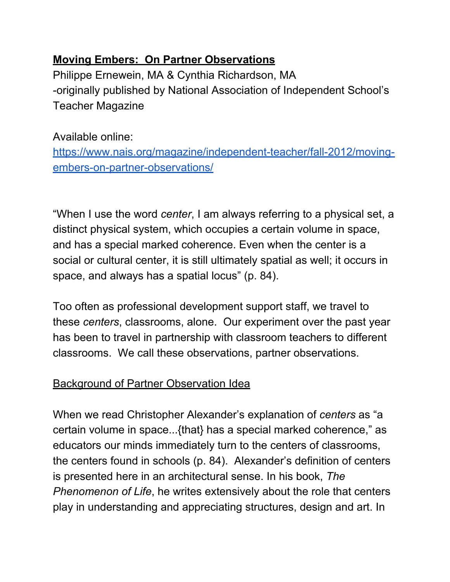# **Moving Embers: On Partner Observations**

Philippe Ernewein, MA & Cynthia Richardson, MA -originally published by National Association of Independent School's Teacher Magazine

# Available online:

[https://www.nais.org/magazine/independent-teacher/fall-2012/moving](https://www.nais.org/magazine/independent-teacher/fall-2012/moving-embers-on-partner-observations/)[embers-on-partner-observations/](https://www.nais.org/magazine/independent-teacher/fall-2012/moving-embers-on-partner-observations/)

"When I use the word *center*, I am always referring to a physical set, a distinct physical system, which occupies a certain volume in space, and has a special marked coherence. Even when the center is a social or cultural center, it is still ultimately spatial as well; it occurs in space, and always has a spatial locus" (p. 84).

Too often as professional development support staff, we travel to these *centers*, classrooms, alone. Our experiment over the past year has been to travel in partnership with classroom teachers to different classrooms. We call these observations, partner observations.

# Background of Partner Observation Idea

When we read Christopher Alexander's explanation of *centers* as "a certain volume in space...{that} has a special marked coherence," as educators our minds immediately turn to the centers of classrooms, the centers found in schools (p. 84). Alexander's definition of centers is presented here in an architectural sense. In his book, *The Phenomenon of Life*, he writes extensively about the role that centers play in understanding and appreciating structures, design and art. In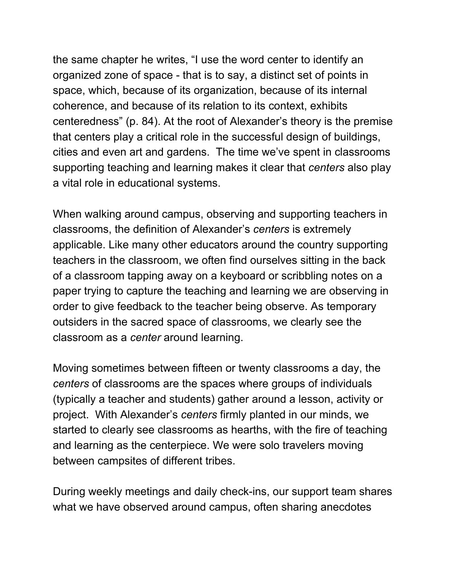the same chapter he writes, "I use the word center to identify an organized zone of space - that is to say, a distinct set of points in space, which, because of its organization, because of its internal coherence, and because of its relation to its context, exhibits centeredness" (p. 84). At the root of Alexander's theory is the premise that centers play a critical role in the successful design of buildings, cities and even art and gardens. The time we've spent in classrooms supporting teaching and learning makes it clear that *centers* also play a vital role in educational systems.

When walking around campus, observing and supporting teachers in classrooms, the definition of Alexander's *centers* is extremely applicable. Like many other educators around the country supporting teachers in the classroom, we often find ourselves sitting in the back of a classroom tapping away on a keyboard or scribbling notes on a paper trying to capture the teaching and learning we are observing in order to give feedback to the teacher being observe. As temporary outsiders in the sacred space of classrooms, we clearly see the classroom as a *center* around learning.

Moving sometimes between fifteen or twenty classrooms a day, the *centers* of classrooms are the spaces where groups of individuals (typically a teacher and students) gather around a lesson, activity or project. With Alexander's *centers* firmly planted in our minds, we started to clearly see classrooms as hearths, with the fire of teaching and learning as the centerpiece. We were solo travelers moving between campsites of different tribes.

During weekly meetings and daily check-ins, our support team shares what we have observed around campus, often sharing anecdotes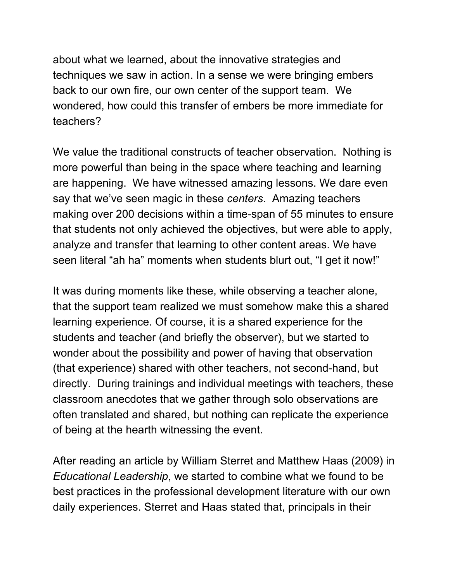about what we learned, about the innovative strategies and techniques we saw in action. In a sense we were bringing embers back to our own fire, our own center of the support team. We wondered, how could this transfer of embers be more immediate for teachers?

We value the traditional constructs of teacher observation. Nothing is more powerful than being in the space where teaching and learning are happening. We have witnessed amazing lessons. We dare even say that we've seen magic in these *centers*. Amazing teachers making over 200 decisions within a time-span of 55 minutes to ensure that students not only achieved the objectives, but were able to apply, analyze and transfer that learning to other content areas. We have seen literal "ah ha" moments when students blurt out, "I get it now!"

It was during moments like these, while observing a teacher alone, that the support team realized we must somehow make this a shared learning experience. Of course, it is a shared experience for the students and teacher (and briefly the observer), but we started to wonder about the possibility and power of having that observation (that experience) shared with other teachers, not second-hand, but directly. During trainings and individual meetings with teachers, these classroom anecdotes that we gather through solo observations are often translated and shared, but nothing can replicate the experience of being at the hearth witnessing the event.

After reading an article by William Sterret and Matthew Haas (2009) in *Educational Leadership*, we started to combine what we found to be best practices in the professional development literature with our own daily experiences. Sterret and Haas stated that, principals in their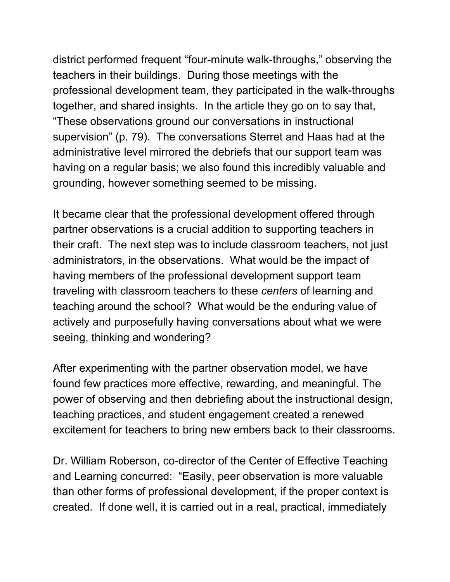district performed frequent "four-minute walk-throughs," observing the teachers in their buildings. During those meetings with the professional development team, they participated in the walk-throughs together, and shared insights. In the article they go on to say that, "These observations ground our conversations in instructional supervision" (p. 79). The conversations Sterret and Haas had at the administrative level mirrored the debriefs that our support team was having on a regular basis; we also found this incredibly valuable and grounding, however something seemed to be missing.

It became clear that the professional development offered through partner observations is a crucial addition to supporting teachers in their craft. The next step was to include classroom teachers, not just administrators, in the observations. What would be the impact of having members of the professional development support team traveling with classroom teachers to these *centers* of learning and teaching around the school? What would be the enduring value of actively and purposefully having conversations about what we were seeing, thinking and wondering?

After experimenting with the partner observation model, we have found few practices more effective, rewarding, and meaningful. The power of observing and then debriefing about the instructional design, teaching practices, and student engagement created a renewed excitement for teachers to bring new embers back to their classrooms.

Dr. William Roberson, co-director of the Center of Effective Teaching and Learning concurred: "Easily, peer observation is more valuable than other forms of professional development, if the proper context is created. If done well, it is carried out in a real, practical, immediately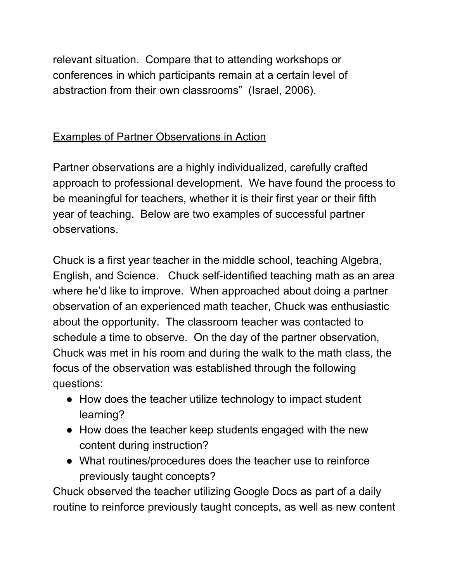relevant situation. Compare that to attending workshops or conferences in which participants remain at a certain level of abstraction from their own classrooms" (Israel, 2006).

#### Examples of Partner Observations in Action

Partner observations are a highly individualized, carefully crafted approach to professional development. We have found the process to be meaningful for teachers, whether it is their first year or their fifth year of teaching. Below are two examples of successful partner observations.

Chuck is a first year teacher in the middle school, teaching Algebra, English, and Science. Chuck self-identified teaching math as an area where he'd like to improve. When approached about doing a partner observation of an experienced math teacher, Chuck was enthusiastic about the opportunity. The classroom teacher was contacted to schedule a time to observe. On the day of the partner observation, Chuck was met in his room and during the walk to the math class, the focus of the observation was established through the following questions:

- How does the teacher utilize technology to impact student learning?
- How does the teacher keep students engaged with the new content during instruction?
- What routines/procedures does the teacher use to reinforce previously taught concepts?

Chuck observed the teacher utilizing Google Docs as part of a daily routine to reinforce previously taught concepts, as well as new content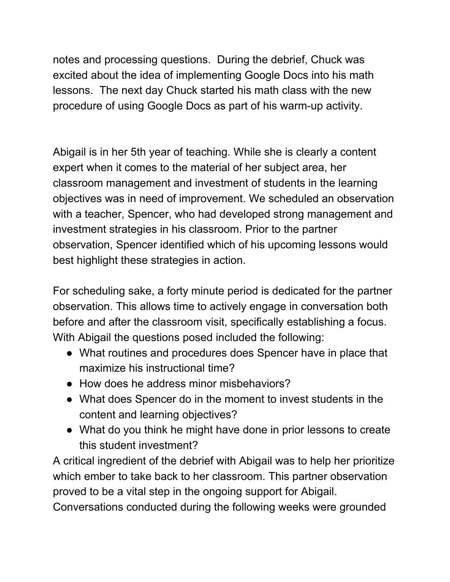notes and processing questions. During the debrief, Chuck was excited about the idea of implementing Google Docs into his math lessons. The next day Chuck started his math class with the new procedure of using Google Docs as part of his warm-up activity.

Abigail is in her 5th year of teaching. While she is clearly a content expert when it comes to the material of her subject area, her classroom management and investment of students in the learning objectives was in need of improvement. We scheduled an observation with a teacher, Spencer, who had developed strong management and investment strategies in his classroom. Prior to the partner observation, Spencer identified which of his upcoming lessons would best highlight these strategies in action.

For scheduling sake, a forty minute period is dedicated for the partner observation. This allows time to actively engage in conversation both before and after the classroom visit, specifically establishing a focus. With Abigail the questions posed included the following:

- What routines and procedures does Spencer have in place that maximize his instructional time?
- How does he address minor misbehaviors?
- What does Spencer do in the moment to invest students in the content and learning objectives?
- What do you think he might have done in prior lessons to create this student investment?

A critical ingredient of the debrief with Abigail was to help her prioritize which ember to take back to her classroom. This partner observation proved to be a vital step in the ongoing support for Abigail.

Conversations conducted during the following weeks were grounded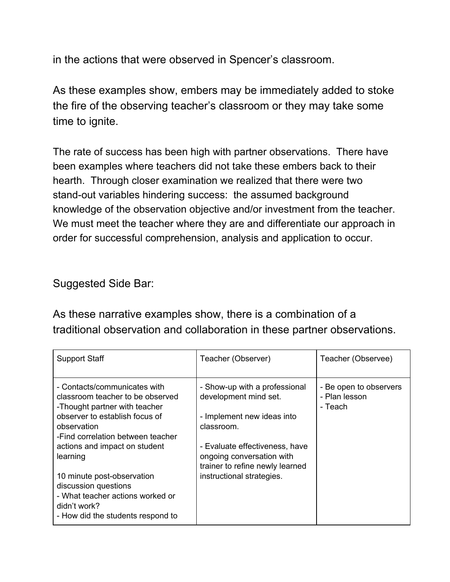in the actions that were observed in Spencer's classroom.

As these examples show, embers may be immediately added to stoke the fire of the observing teacher's classroom or they may take some time to ignite.

The rate of success has been high with partner observations. There have been examples where teachers did not take these embers back to their hearth. Through closer examination we realized that there were two stand-out variables hindering success: the assumed background knowledge of the observation objective and/or investment from the teacher. We must meet the teacher where they are and differentiate our approach in order for successful comprehension, analysis and application to occur.

Suggested Side Bar:

As these narrative examples show, there is a combination of a traditional observation and collaboration in these partner observations.

| <b>Support Staff</b>                                                                                                                        | Teacher (Observer)                                                                             | Teacher (Observee)                                 |
|---------------------------------------------------------------------------------------------------------------------------------------------|------------------------------------------------------------------------------------------------|----------------------------------------------------|
| - Contacts/communicates with<br>classroom teacher to be observed<br>-Thought partner with teacher                                           | - Show-up with a professional<br>development mind set.                                         | - Be open to observers<br>- Plan lesson<br>- Teach |
| observer to establish focus of<br>observation<br>-Find correlation between teacher                                                          | - Implement new ideas into<br>classroom.                                                       |                                                    |
| actions and impact on student<br>learning                                                                                                   | - Evaluate effectiveness, have<br>ongoing conversation with<br>trainer to refine newly learned |                                                    |
| 10 minute post-observation<br>discussion questions<br>- What teacher actions worked or<br>didn't work?<br>- How did the students respond to | instructional strategies.                                                                      |                                                    |